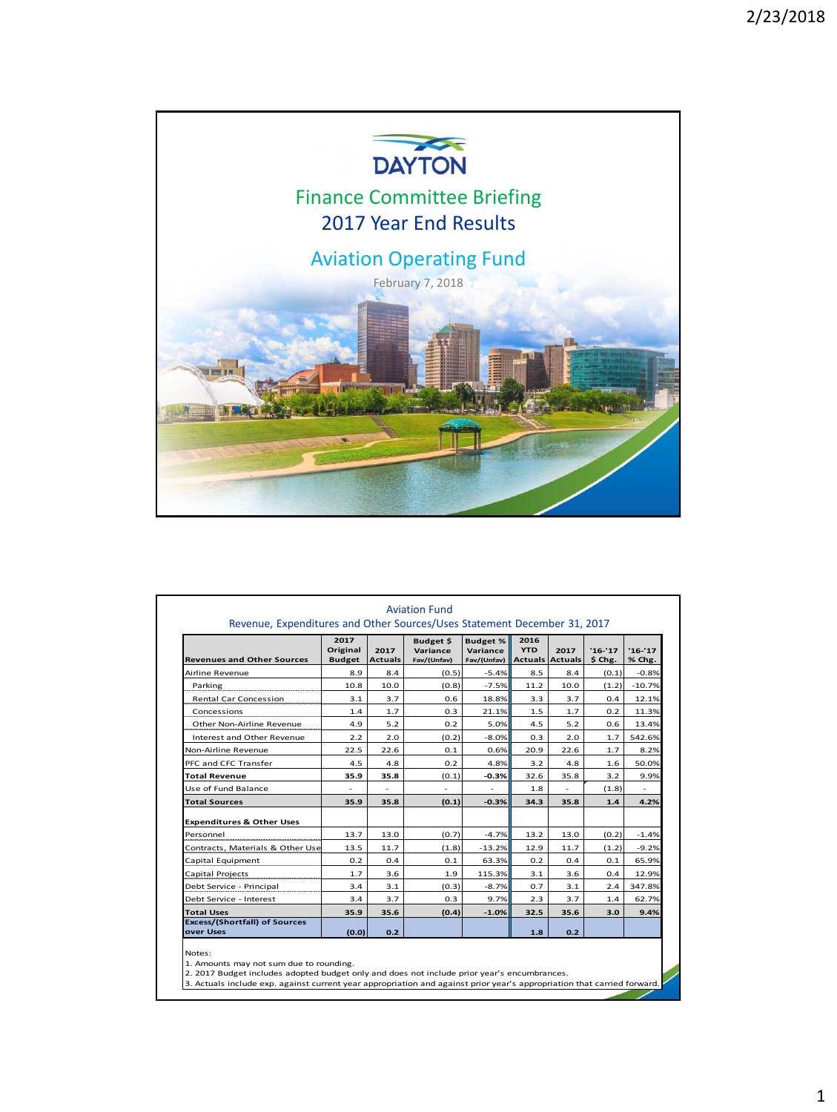

| <b>Revenues and Other Sources</b>                 | 2017<br>Original<br><b>Budget</b> | 2017<br><b>Actuals</b> | Budget \$<br>Variance<br>Fav/(Unfav) | <b>Budget %</b><br>Variance<br>Fav/(Unfav) Actuals Actuals | 2016<br><b>YTD</b> | 2017 | $'16-'17$<br>$$$ Chg. | $'16-17$<br>% Chg. |
|---------------------------------------------------|-----------------------------------|------------------------|--------------------------------------|------------------------------------------------------------|--------------------|------|-----------------------|--------------------|
| Airline Revenue                                   | 8.9                               | 8.4                    | (0.5)                                | $-5.4%$                                                    | 8.5                | 8.4  | (0.1)                 | $-0.8%$            |
| Parking                                           | 10.8                              | 10.0                   | (0.8)                                | $-7.5%$                                                    | 11.2               | 10.0 | (1.2)                 | $-10.7%$           |
| <b>Rental Car Concession</b>                      | 3.1                               | 3.7                    | 0.6                                  | 18.8%                                                      | 3.3                | 3.7  | 0.4                   | 12.1%              |
| Concessions                                       | 1.4                               | 1.7                    | 0.3                                  | 21.1%                                                      | 1.5                | 1.7  | 0.2                   | 11.3%              |
| Other Non-Airline Revenue                         | 4.9                               | 5.2                    | 0.2                                  | 5.0%                                                       | 4.5                | 5.2  | 0.6                   | 13.4%              |
| Interest and Other Revenue                        | 2.2                               | 2.0                    | (0.2)                                | $-8.0%$                                                    | 0.3                | 2.0  | 1.7                   | 542.6%             |
| Non-Airline Revenue                               | 22.5                              | 22.6                   | 0.1                                  | 0.6%                                                       | 20.9               | 22.6 | 1.7                   | 8.2%               |
| PFC and CFC Transfer                              | 4.5                               | 4.8                    | 0.2                                  | 4.8%                                                       | 3.2                | 4.8  | 1.6                   | 50.0%              |
| Total Revenue                                     | 35.9                              | 35.8                   | (0.1)                                | $-0.3%$                                                    | 32.6               | 35.8 | 3.2                   | 9.9%               |
| Use of Fund Balance                               |                                   |                        | ٠                                    |                                                            | 1.8                |      | (1.8)                 |                    |
| <b>Total Sources</b>                              | 35.9                              | 35.8                   | (0.1)                                | $-0.3%$                                                    | 34.3               | 35.8 | 1.4                   | 4.2%               |
| <b>Expenditures &amp; Other Uses</b>              |                                   |                        |                                      |                                                            |                    |      |                       |                    |
| Personnel                                         | 13.7                              | 13.0                   | (0.7)                                | $-4.7%$                                                    | 13.2               | 13.0 | (0.2)                 | $-1.4%$            |
| Contracts, Materials & Other Use                  | 13.5                              | 11.7                   | (1.8)                                | $-13.2%$                                                   | 12.9               | 11.7 | (1.2)                 | $-9.2%$            |
| Capital Equipment                                 | 0.2                               | 0.4                    | 0.1                                  | 63.3%                                                      | 0.2                | 0.4  | 0.1                   | 65.9%              |
| Capital Projects                                  | 1.7                               | 3.6                    | 1.9                                  | 115.3%                                                     | 3.1                | 3.6  | 0.4                   | 12.9%              |
| Debt Service - Principal                          | 3.4                               | 3.1                    | (0.3)                                | $-8.7%$                                                    | 0.7                | 3.1  | 2.4                   | 347.8%             |
| Debt Service - Interest                           | 3.4                               | 3.7                    | 0.3                                  | 9.7%                                                       | 2.3                | 3.7  | 1.4                   | 62.7%              |
| <b>Total Uses</b>                                 | 35.9                              | 35.6                   | (0.4)                                | $-1.0%$                                                    | 32.5               | 35.6 | 3.0                   | 9.4%               |
| <b>Excess/(Shortfall) of Sources</b><br>over Uses | (0.0)                             | 0.2                    |                                      |                                                            | 1.8                | 0.2  |                       |                    |

.<br>22 Notes:<br>1. Amounts may not sum due to rounding.<br>2. 2017 Budget includes adopted budget only and does not include prior year's encumbrances.<br>3. Actuals include exp. against current year appropriation and against prior year's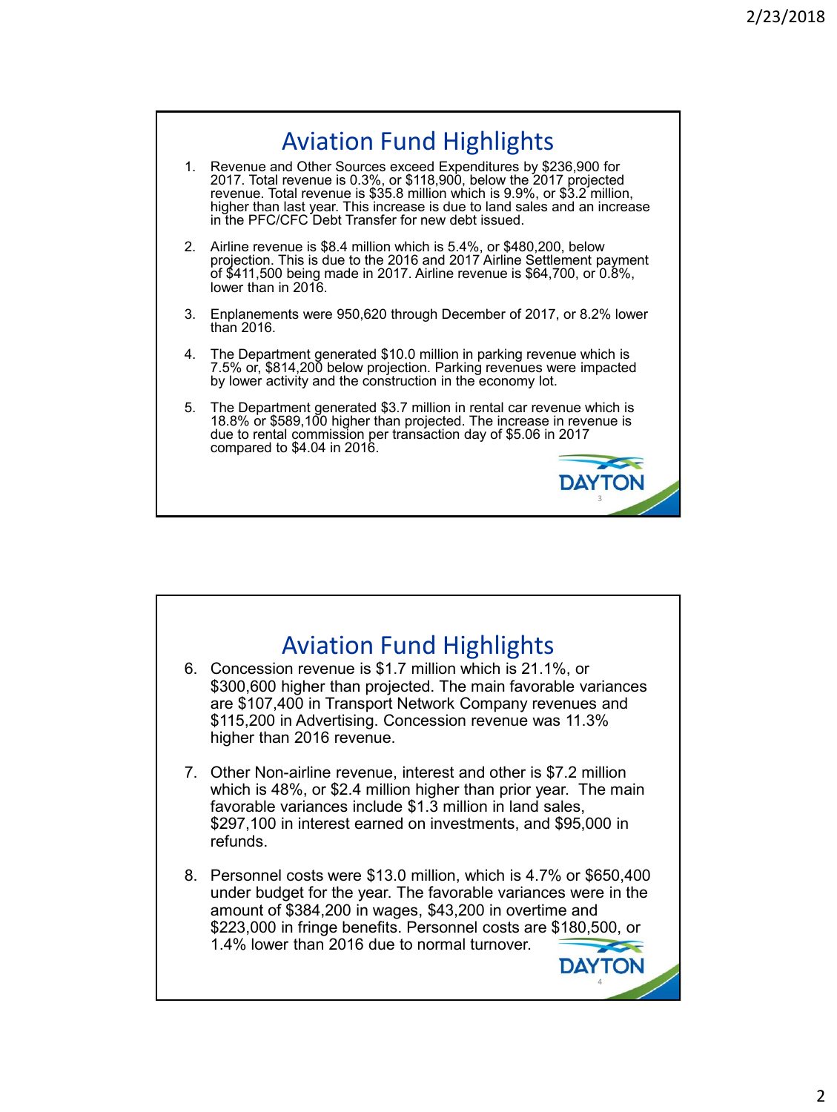

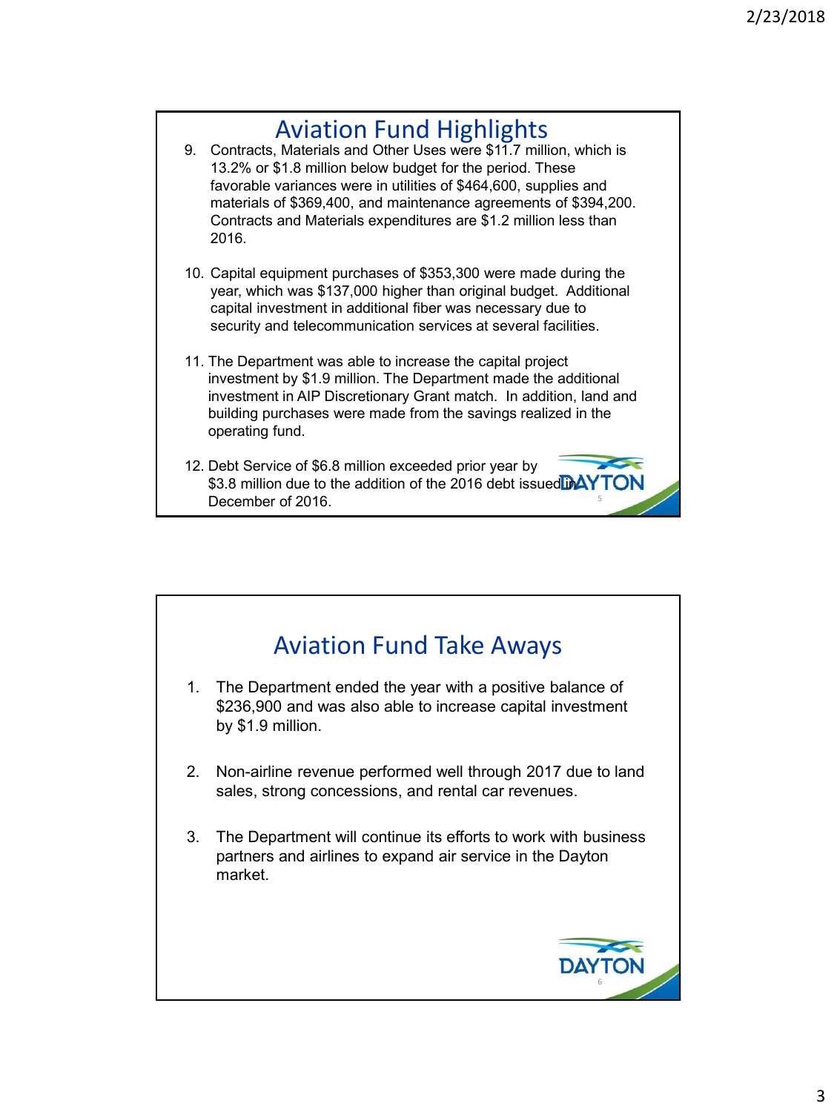## Aviation Fund Highlights 9. Contracts, Materials and Other Uses were \$11.7 million, which is 13.2% or \$1.8 million below budget for the period. These favorable variances were in utilities of \$464,600, supplies and materials of \$369,400, and maintenance agreements of \$394,200. Contracts and Materials expenditures are \$1.2 million less than 2016. 10. Capital equipment purchases of \$353,300 were made during the year, which was \$137,000 higher than original budget. Additional capital investment in additional fiber was necessary due to security and telecommunication services at several facilities. 11. The Department was able to increase the capital project investment by \$1.9 million. The Department made the additional investment in AIP Discretionary Grant match. In addition, land and building purchases were made from the savings realized in the operating fund. 12. Debt Service of \$6.8 million exceeded prior year by \$3.8 million due to the addition of the 2016 debt issued DAY

5

December of 2016.

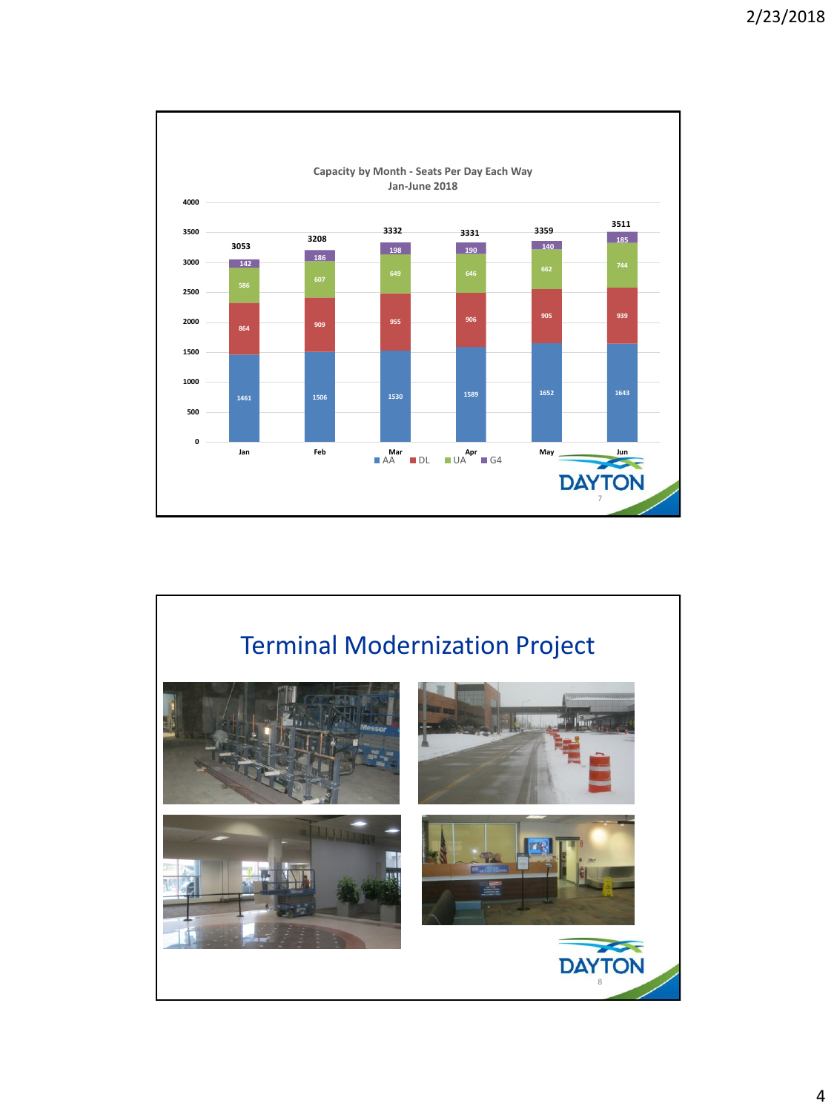

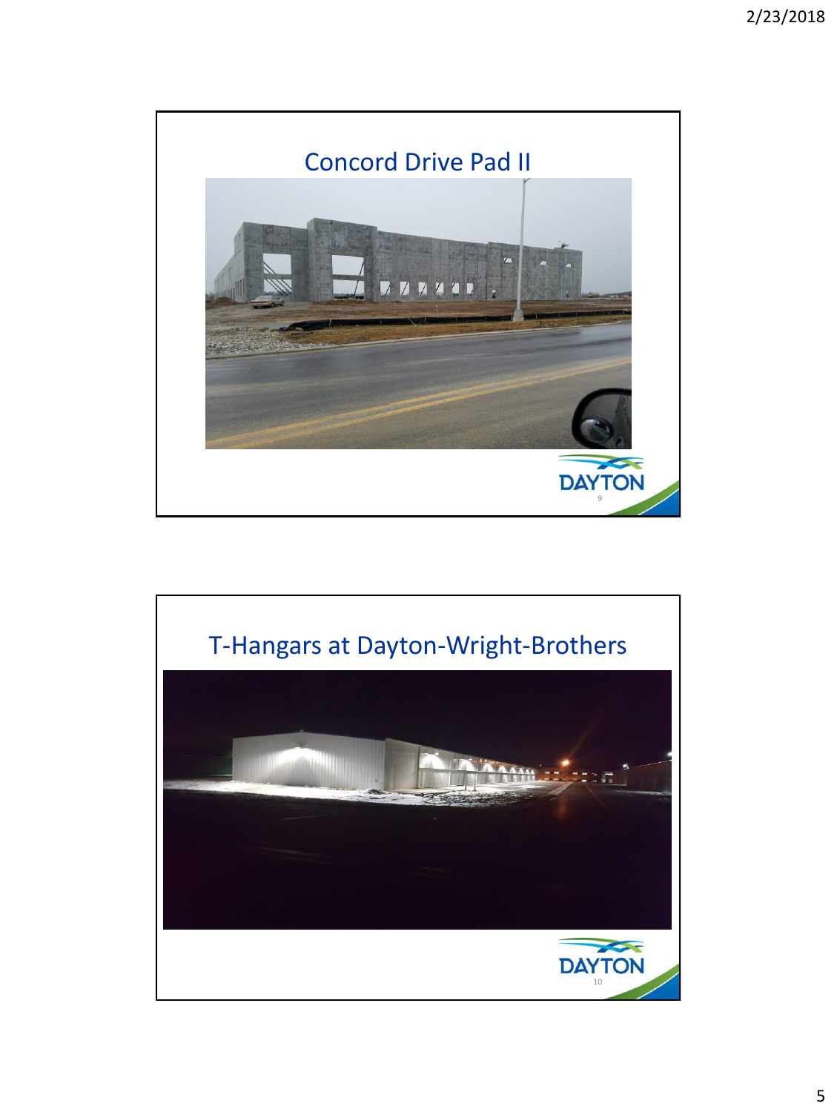

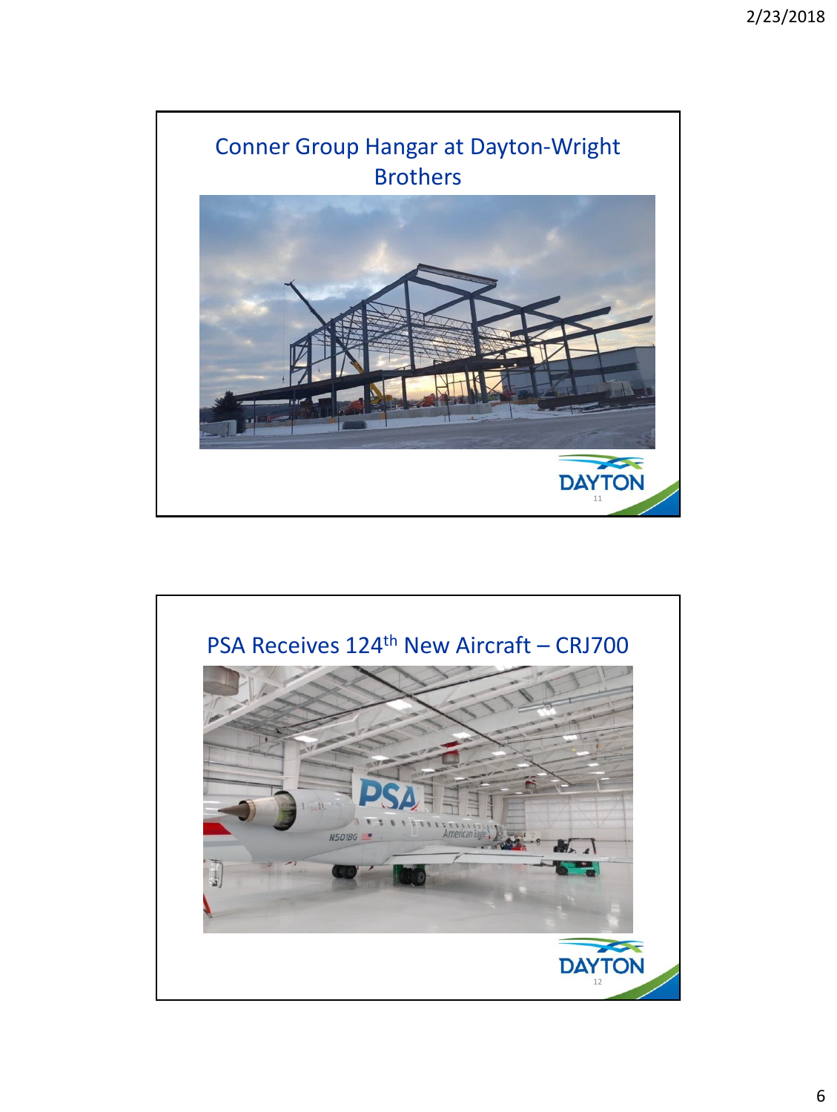